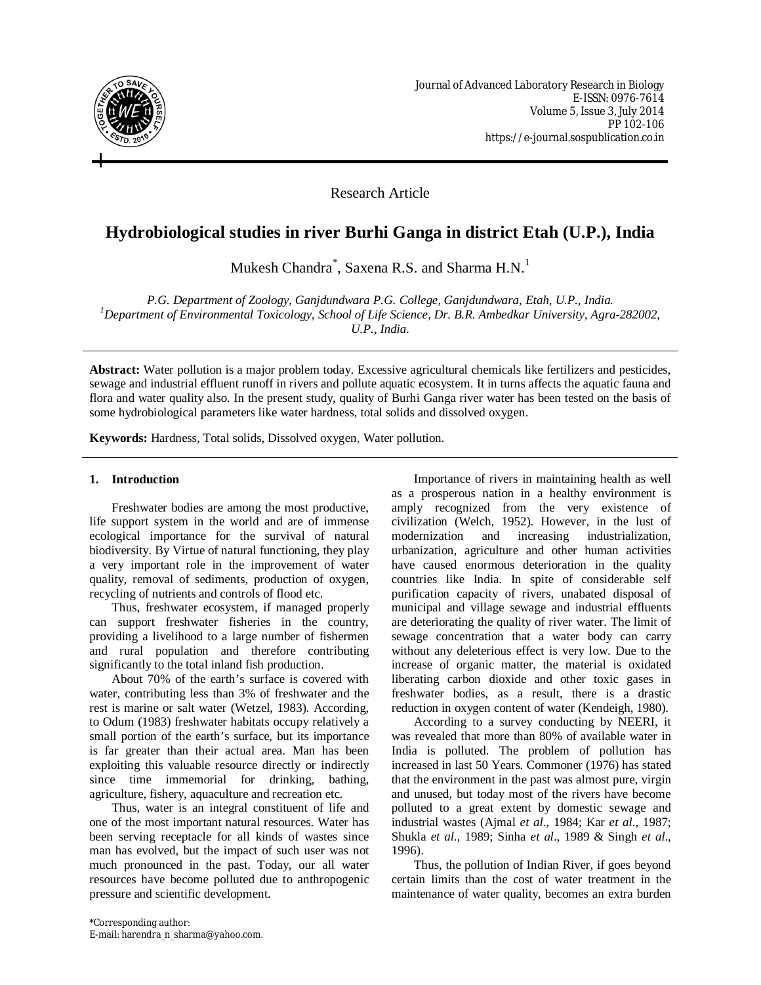

Research Article

# **Hydrobiological studies in river Burhi Ganga in district Etah (U.P.), India**

Mukesh Chandra<sup>\*</sup>, Saxena R.S. and Sharma H.N.<sup>1</sup>

*P.G. Department of Zoology, Ganjdundwara P.G. College, Ganjdundwara, Etah, U.P., India. <sup>1</sup>Department of Environmental Toxicology, School of Life Science, Dr. B.R. Ambedkar University, Agra-282002, U.P., India.*

**Abstract:** Water pollution is a major problem today. Excessive agricultural chemicals like fertilizers and pesticides, sewage and industrial effluent runoff in rivers and pollute aquatic ecosystem. It in turns affects the aquatic fauna and flora and water quality also. In the present study, quality of Burhi Ganga river water has been tested on the basis of some hydrobiological parameters like water hardness, total solids and dissolved oxygen.

**Keywords:** Hardness, Total solids, Dissolved oxygen, Water pollution.

## **1. Introduction**

Freshwater bodies are among the most productive, life support system in the world and are of immense ecological importance for the survival of natural biodiversity. By Virtue of natural functioning, they play a very important role in the improvement of water quality, removal of sediments, production of oxygen, recycling of nutrients and controls of flood etc.

Thus, freshwater ecosystem, if managed properly can support freshwater fisheries in the country, providing a livelihood to a large number of fishermen and rural population and therefore contributing significantly to the total inland fish production.

About 70% of the earth's surface is covered with water, contributing less than 3% of freshwater and the rest is marine or salt water (Wetzel, 1983). According, to Odum (1983) freshwater habitats occupy relatively a small portion of the earth's surface, but its importance is far greater than their actual area. Man has been exploiting this valuable resource directly or indirectly since time immemorial for drinking, bathing, agriculture, fishery, aquaculture and recreation etc.

Thus, water is an integral constituent of life and one of the most important natural resources. Water has been serving receptacle for all kinds of wastes since man has evolved, but the impact of such user was not much pronounced in the past. Today, our all water resources have become polluted due to anthropogenic pressure and scientific development.

Importance of rivers in maintaining health as well as a prosperous nation in a healthy environment is amply recognized from the very existence of civilization (Welch, 1952). However, in the lust of modernization and increasing industrialization, urbanization, agriculture and other human activities have caused enormous deterioration in the quality countries like India. In spite of considerable self purification capacity of rivers, unabated disposal of municipal and village sewage and industrial effluents are deteriorating the quality of river water. The limit of sewage concentration that a water body can carry without any deleterious effect is very low. Due to the increase of organic matter, the material is oxidated liberating carbon dioxide and other toxic gases in freshwater bodies, as a result, there is a drastic reduction in oxygen content of water (Kendeigh, 1980).

According to a survey conducting by NEERI, it was revealed that more than 80% of available water in India is polluted. The problem of pollution has increased in last 50 Years. Commoner (1976) has stated that the environment in the past was almost pure, virgin and unused, but today most of the rivers have become polluted to a great extent by domestic sewage and industrial wastes (Ajmal *et al*., 1984; Kar *et al*., 1987; Shukla *et al*., 1989; Sinha *et al*., 1989 & Singh *et al*., 1996).

Thus, the pollution of Indian River, if goes beyond certain limits than the cost of water treatment in the maintenance of water quality, becomes an extra burden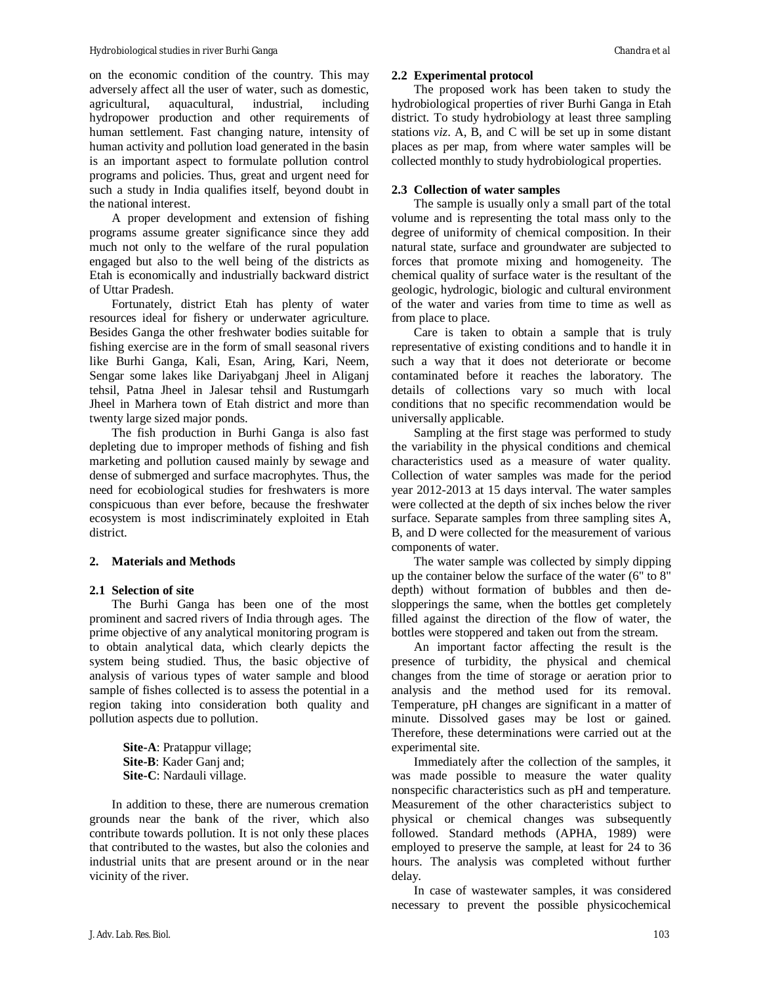on the economic condition of the country. This may adversely affect all the user of water, such as domestic, agricultural, aquacultural, industrial, including hydropower production and other requirements of human settlement. Fast changing nature, intensity of human activity and pollution load generated in the basin is an important aspect to formulate pollution control programs and policies. Thus, great and urgent need for such a study in India qualifies itself, beyond doubt in the national interest.

A proper development and extension of fishing programs assume greater significance since they add much not only to the welfare of the rural population engaged but also to the well being of the districts as Etah is economically and industrially backward district of Uttar Pradesh.

Fortunately, district Etah has plenty of water resources ideal for fishery or underwater agriculture. Besides Ganga the other freshwater bodies suitable for fishing exercise are in the form of small seasonal rivers like Burhi Ganga, Kali, Esan, Aring, Kari, Neem, Sengar some lakes like Dariyabganj Jheel in Aliganj tehsil, Patna Jheel in Jalesar tehsil and Rustumgarh Jheel in Marhera town of Etah district and more than twenty large sized major ponds.

The fish production in Burhi Ganga is also fast depleting due to improper methods of fishing and fish marketing and pollution caused mainly by sewage and dense of submerged and surface macrophytes. Thus, the need for ecobiological studies for freshwaters is more conspicuous than ever before, because the freshwater ecosystem is most indiscriminately exploited in Etah district.

## **2. Materials and Methods**

#### **2.1 Selection of site**

The Burhi Ganga has been one of the most prominent and sacred rivers of India through ages. The prime objective of any analytical monitoring program is to obtain analytical data, which clearly depicts the system being studied. Thus, the basic objective of analysis of various types of water sample and blood sample of fishes collected is to assess the potential in a region taking into consideration both quality and pollution aspects due to pollution.

> **Site-A**: Pratappur village; **Site-B**: Kader Ganj and; **Site-C**: Nardauli village.

In addition to these, there are numerous cremation grounds near the bank of the river, which also contribute towards pollution. It is not only these places that contributed to the wastes, but also the colonies and industrial units that are present around or in the near vicinity of the river.

## **2.2 Experimental protocol**

The proposed work has been taken to study the hydrobiological properties of river Burhi Ganga in Etah district. To study hydrobiology at least three sampling stations *viz*. A, B, and C will be set up in some distant places as per map, from where water samples will be collected monthly to study hydrobiological properties.

## **2.3 Collection of water samples**

The sample is usually only a small part of the total volume and is representing the total mass only to the degree of uniformity of chemical composition. In their natural state, surface and groundwater are subjected to forces that promote mixing and homogeneity. The chemical quality of surface water is the resultant of the geologic, hydrologic, biologic and cultural environment of the water and varies from time to time as well as from place to place.

Care is taken to obtain a sample that is truly representative of existing conditions and to handle it in such a way that it does not deteriorate or become contaminated before it reaches the laboratory. The details of collections vary so much with local conditions that no specific recommendation would be universally applicable.

Sampling at the first stage was performed to study the variability in the physical conditions and chemical characteristics used as a measure of water quality. Collection of water samples was made for the period year 2012-2013 at 15 days interval. The water samples were collected at the depth of six inches below the river surface. Separate samples from three sampling sites A, B, and D were collected for the measurement of various components of water.

The water sample was collected by simply dipping up the container below the surface of the water (6" to 8" depth) without formation of bubbles and then deslopperings the same, when the bottles get completely filled against the direction of the flow of water, the bottles were stoppered and taken out from the stream.

An important factor affecting the result is the presence of turbidity, the physical and chemical changes from the time of storage or aeration prior to analysis and the method used for its removal. Temperature, pH changes are significant in a matter of minute. Dissolved gases may be lost or gained. Therefore, these determinations were carried out at the experimental site.

Immediately after the collection of the samples, it was made possible to measure the water quality nonspecific characteristics such as pH and temperature. Measurement of the other characteristics subject to physical or chemical changes was subsequently followed. Standard methods (APHA, 1989) were employed to preserve the sample, at least for 24 to 36 hours. The analysis was completed without further delay.

In case of wastewater samples, it was considered necessary to prevent the possible physicochemical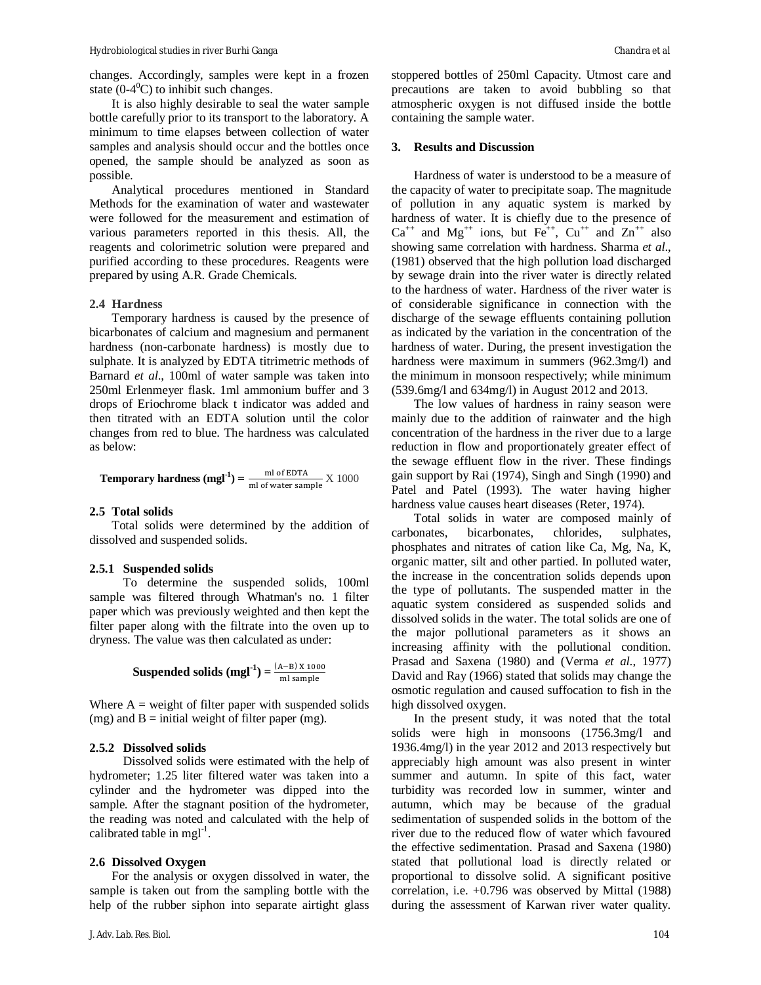changes. Accordingly, samples were kept in a frozen state  $(0-4<sup>0</sup>C)$  to inhibit such changes.

It is also highly desirable to seal the water sample bottle carefully prior to its transport to the laboratory. A minimum to time elapses between collection of water samples and analysis should occur and the bottles once opened, the sample should be analyzed as soon as possible.

Analytical procedures mentioned in Standard Methods for the examination of water and wastewater were followed for the measurement and estimation of various parameters reported in this thesis. All, the reagents and colorimetric solution were prepared and purified according to these procedures. Reagents were prepared by using A.R. Grade Chemicals.

#### **2.4 Hardness**

Temporary hardness is caused by the presence of bicarbonates of calcium and magnesium and permanent hardness (non-carbonate hardness) is mostly due to sulphate. It is analyzed by EDTA titrimetric methods of Barnard *et al*., 100ml of water sample was taken into 250ml Erlenmeyer flask. 1ml ammonium buffer and 3 drops of Eriochrome black t indicator was added and then titrated with an EDTA solution until the color changes from red to blue. The hardness was calculated as below:

**Temporary hardness (mgI<sup>-1</sup>)** = 
$$
\frac{\text{ml of EDTA}}{\text{ml of water sample X } 1000}
$$

#### **2.5 Total solids**

Total solids were determined by the addition of dissolved and suspended solids.

## **2.5.1 Suspended solids**

To determine the suspended solids, 100ml sample was filtered through Whatman's no. 1 filter paper which was previously weighted and then kept the filter paper along with the filtrate into the oven up to dryness. The value was then calculated as under:

**Suspended solids (mgl<sup>-1</sup>)** = 
$$
\frac{(A-B) X 1000}{m1 sample}
$$

Where  $A = weight$  of filter paper with suspended solids  $(mg)$  and B = initial weight of filter paper  $(mg)$ .

#### **2.5.2 Dissolved solids**

Dissolved solids were estimated with the help of hydrometer; 1.25 liter filtered water was taken into a cylinder and the hydrometer was dipped into the sample. After the stagnant position of the hydrometer, the reading was noted and calculated with the help of calibrated table in mgl $^{-1}$ .

#### **2.6 Dissolved Oxygen**

For the analysis or oxygen dissolved in water, the sample is taken out from the sampling bottle with the help of the rubber siphon into separate airtight glass stoppered bottles of 250ml Capacity. Utmost care and precautions are taken to avoid bubbling so that atmospheric oxygen is not diffused inside the bottle containing the sample water.

#### **3. Results and Discussion**

Hardness of water is understood to be a measure of the capacity of water to precipitate soap. The magnitude of pollution in any aquatic system is marked by hardness of water. It is chiefly due to the presence of  $Ca^{++}$  and  $Mg^{++}$  ions, but Fe<sup>++</sup>,  $Cu^{++}$  and  $Zn^{++}$  also showing same correlation with hardness. Sharma *et al*., (1981) observed that the high pollution load discharged by sewage drain into the river water is directly related to the hardness of water. Hardness of the river water is of considerable significance in connection with the discharge of the sewage effluents containing pollution as indicated by the variation in the concentration of the hardness of water. During, the present investigation the hardness were maximum in summers (962.3mg/l) and the minimum in monsoon respectively; while minimum (539.6mg/l and 634mg/l) in August 2012 and 2013.

The low values of hardness in rainy season were mainly due to the addition of rainwater and the high concentration of the hardness in the river due to a large reduction in flow and proportionately greater effect of the sewage effluent flow in the river. These findings gain support by Rai (1974), Singh and Singh (1990) and Patel and Patel (1993). The water having higher hardness value causes heart diseases (Reter, 1974).

Total solids in water are composed mainly of carbonates, bicarbonates, chlorides, sulphates, phosphates and nitrates of cation like Ca, Mg, Na, K, organic matter, silt and other partied. In polluted water, the increase in the concentration solids depends upon the type of pollutants. The suspended matter in the aquatic system considered as suspended solids and dissolved solids in the water. The total solids are one of the major pollutional parameters as it shows an increasing affinity with the pollutional condition. Prasad and Saxena (1980) and (Verma *et al.*, 1977) David and Ray (1966) stated that solids may change the osmotic regulation and caused suffocation to fish in the high dissolved oxygen.

In the present study, it was noted that the total solids were high in monsoons (1756.3mg/l and 1936.4mg/l) in the year 2012 and 2013 respectively but appreciably high amount was also present in winter summer and autumn. In spite of this fact, water turbidity was recorded low in summer, winter and autumn, which may be because of the gradual sedimentation of suspended solids in the bottom of the river due to the reduced flow of water which favoured the effective sedimentation. Prasad and Saxena (1980) stated that pollutional load is directly related or proportional to dissolve solid. A significant positive correlation, i.e. +0.796 was observed by Mittal (1988) during the assessment of Karwan river water quality.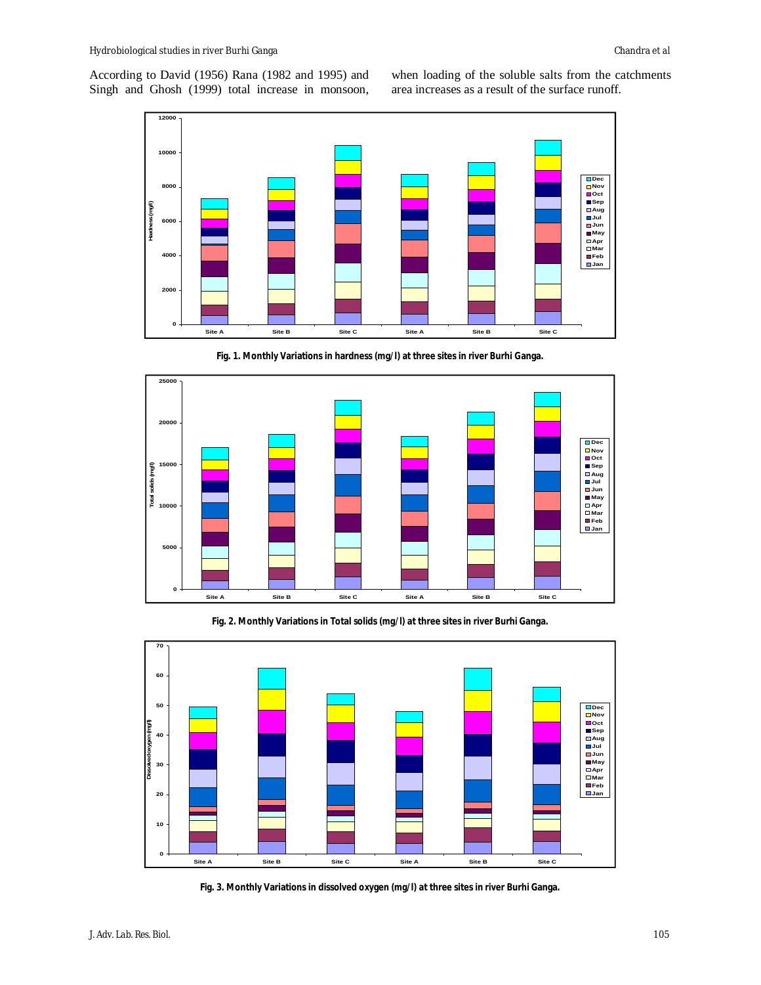According to David (1956) Rana (1982 and 1995) and Singh and Ghosh (1999) total increase in monsoon,

when loading of the soluble salts from the catchments area increases as a result of the surface runoff.



**Fig. 1. Monthly Variations in hardness (mg/l) at three sites in river Burhi Ganga.**



**Fig. 2. Monthly Variations in Total solids (mg/l) at three sites in river Burhi Ganga.**



**Fig. 3. Monthly Variations in dissolved oxygen (mg/l) at three sites in river Burhi Ganga.**